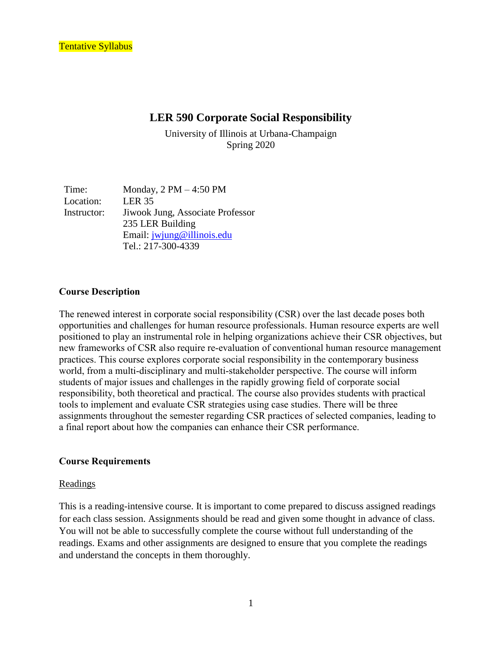# **LER 590 Corporate Social Responsibility**

University of Illinois at Urbana-Champaign Spring 2020

Time: Monday,  $2 PM - 4:50 PM$ Location: LER 35 Instructor: Jiwook Jung, Associate Professor 235 LER Building Email: [jwjung@illinois.edu](mailto:jwjung@illinois.edu) Tel.: 217-300-4339

### **Course Description**

The renewed interest in corporate social responsibility (CSR) over the last decade poses both opportunities and challenges for human resource professionals. Human resource experts are well positioned to play an instrumental role in helping organizations achieve their CSR objectives, but new frameworks of CSR also require re-evaluation of conventional human resource management practices. This course explores corporate social responsibility in the contemporary business world, from a multi-disciplinary and multi-stakeholder perspective. The course will inform students of major issues and challenges in the rapidly growing field of corporate social responsibility, both theoretical and practical. The course also provides students with practical tools to implement and evaluate CSR strategies using case studies. There will be three assignments throughout the semester regarding CSR practices of selected companies, leading to a final report about how the companies can enhance their CSR performance.

### **Course Requirements**

#### Readings

This is a reading-intensive course. It is important to come prepared to discuss assigned readings for each class session. Assignments should be read and given some thought in advance of class. You will not be able to successfully complete the course without full understanding of the readings. Exams and other assignments are designed to ensure that you complete the readings and understand the concepts in them thoroughly.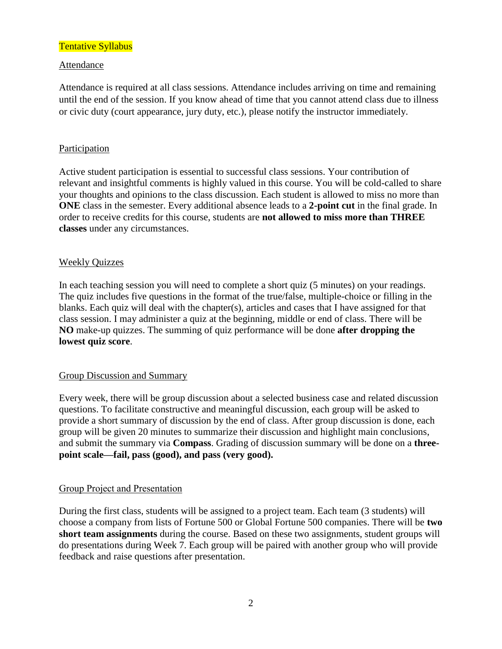## Attendance

Attendance is required at all class sessions. Attendance includes arriving on time and remaining until the end of the session. If you know ahead of time that you cannot attend class due to illness or civic duty (court appearance, jury duty, etc.), please notify the instructor immediately.

## **Participation**

Active student participation is essential to successful class sessions. Your contribution of relevant and insightful comments is highly valued in this course. You will be cold-called to share your thoughts and opinions to the class discussion. Each student is allowed to miss no more than **ONE** class in the semester. Every additional absence leads to a **2-point cut** in the final grade. In order to receive credits for this course, students are **not allowed to miss more than THREE classes** under any circumstances.

## Weekly Quizzes

In each teaching session you will need to complete a short quiz (5 minutes) on your readings. The quiz includes five questions in the format of the true/false, multiple-choice or filling in the blanks. Each quiz will deal with the chapter(s), articles and cases that I have assigned for that class session. I may administer a quiz at the beginning, middle or end of class. There will be **NO** make-up quizzes. The summing of quiz performance will be done **after dropping the lowest quiz score**.

### Group Discussion and Summary

Every week, there will be group discussion about a selected business case and related discussion questions. To facilitate constructive and meaningful discussion, each group will be asked to provide a short summary of discussion by the end of class. After group discussion is done, each group will be given 20 minutes to summarize their discussion and highlight main conclusions, and submit the summary via **Compass**. Grading of discussion summary will be done on a **threepoint scale—fail, pass (good), and pass (very good).** 

### Group Project and Presentation

During the first class, students will be assigned to a project team. Each team (3 students) will choose a company from lists of Fortune 500 or Global Fortune 500 companies. There will be **two short team assignments** during the course. Based on these two assignments, student groups will do presentations during Week 7. Each group will be paired with another group who will provide feedback and raise questions after presentation.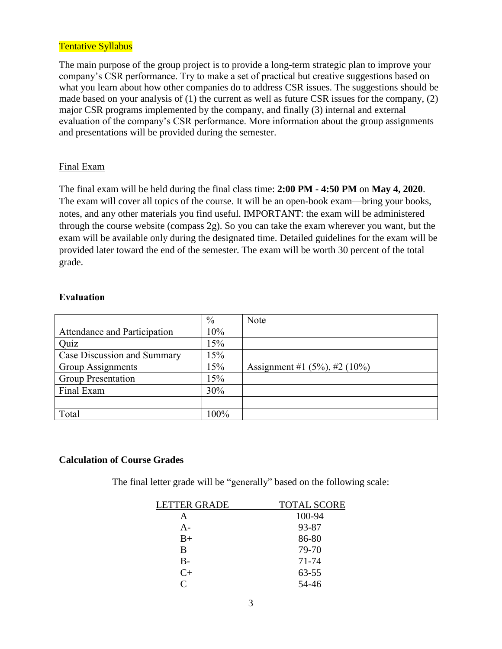The main purpose of the group project is to provide a long-term strategic plan to improve your company's CSR performance. Try to make a set of practical but creative suggestions based on what you learn about how other companies do to address CSR issues. The suggestions should be made based on your analysis of (1) the current as well as future CSR issues for the company, (2) major CSR programs implemented by the company, and finally (3) internal and external evaluation of the company's CSR performance. More information about the group assignments and presentations will be provided during the semester.

## Final Exam

The final exam will be held during the final class time: **2:00 PM - 4:50 PM** on **May 4, 2020**. The exam will cover all topics of the course. It will be an open-book exam—bring your books, notes, and any other materials you find useful. IMPORTANT: the exam will be administered through the course website (compass 2g). So you can take the exam wherever you want, but the exam will be available only during the designated time. Detailed guidelines for the exam will be provided later toward the end of the semester. The exam will be worth 30 percent of the total grade.

## **Evaluation**

|                              | $\%$ | Note                                |
|------------------------------|------|-------------------------------------|
| Attendance and Participation | 10%  |                                     |
| Quiz                         | 15%  |                                     |
| Case Discussion and Summary  | 15%  |                                     |
| Group Assignments            | 15%  | Assignment #1 $(5\%)$ , #2 $(10\%)$ |
| <b>Group Presentation</b>    | 15%  |                                     |
| Final Exam                   | 30%  |                                     |
|                              |      |                                     |
| Total                        | 100% |                                     |

## **Calculation of Course Grades**

The final letter grade will be "generally" based on the following scale:

| <b>LETTER GRADE</b> | <b>TOTAL SCORE</b> |
|---------------------|--------------------|
| A                   | 100-94             |
| A-                  | 93-87              |
| $B+$                | 86-80              |
| B                   | 79-70              |
| $B -$               | 71-74              |
| $C+$                | $63 - 55$          |
| $\subset$           | 54-46              |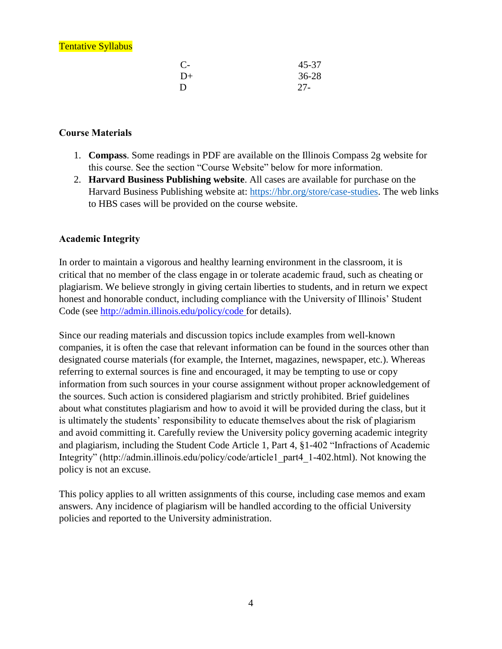| $C-$ | 45-37<br>$36 - 28$ |
|------|--------------------|
| $D+$ |                    |
|      | $27-$              |

# **Course Materials**

- 1. **Compass**. Some readings in PDF are available on the Illinois Compass 2g website for this course. See the section "Course Website" below for more information.
- 2. **Harvard Business Publishing website**. All cases are available for purchase on the Harvard Business Publishing website at: [https://hbr.org/store/case-studies.](https://hbr.org/store/case-studies) The web links to HBS cases will be provided on the course website.

# **Academic Integrity**

In order to maintain a vigorous and healthy learning environment in the classroom, it is critical that no member of the class engage in or tolerate academic fraud, such as cheating or plagiarism. We believe strongly in giving certain liberties to students, and in return we expect honest and honorable conduct, including compliance with the University of Illinois' Student Code (see [http://admin.illinois.edu/policy/code f](http://admin.illinois.edu/policy/code)or details).

Since our reading materials and discussion topics include examples from well-known companies, it is often the case that relevant information can be found in the sources other than designated course materials (for example, the Internet, magazines, newspaper, etc.). Whereas referring to external sources is fine and encouraged, it may be tempting to use or copy information from such sources in your course assignment without proper acknowledgement of the sources. Such action is considered plagiarism and strictly prohibited. Brief guidelines about what constitutes plagiarism and how to avoid it will be provided during the class, but it is ultimately the students' responsibility to educate themselves about the risk of plagiarism and avoid committing it. Carefully review the University policy governing academic integrity and plagiarism, including the Student Code Article 1, Part 4, §1-402 "Infractions of Academic Integrity" (http://admin.illinois.edu/policy/code/article1\_part4\_1-402.html). Not knowing the policy is not an excuse.

This policy applies to all written assignments of this course, including case memos and exam answers. Any incidence of plagiarism will be handled according to the official University policies and reported to the University administration.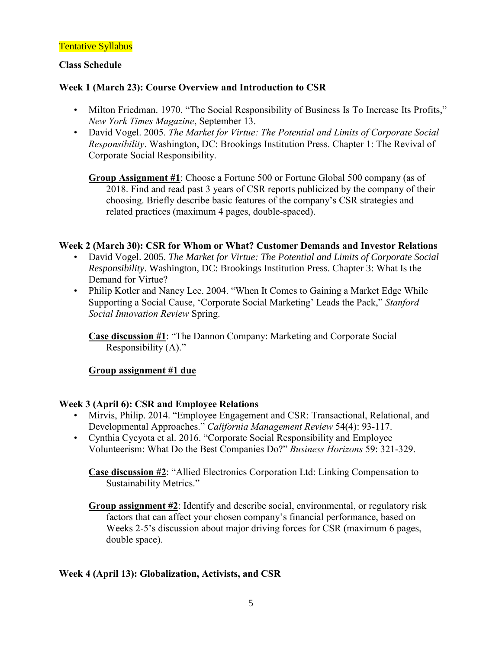## **Class Schedule**

# **Week 1 (March 23): Course Overview and Introduction to CSR**

- Milton Friedman. 1970. "The Social Responsibility of Business Is To Increase Its Profits," *New York Times Magazine*, September 13.
- David Vogel. 2005. *The Market for Virtue: The Potential and Limits of Corporate Social Responsibility*. Washington, DC: Brookings Institution Press. Chapter 1: The Revival of Corporate Social Responsibility.

**Group Assignment #1**: Choose a Fortune 500 or Fortune Global 500 company (as of 2018. Find and read past 3 years of CSR reports publicized by the company of their choosing. Briefly describe basic features of the company's CSR strategies and related practices (maximum 4 pages, double-spaced).

## **Week 2 (March 30): CSR for Whom or What? Customer Demands and Investor Relations**

- David Vogel. 2005. *The Market for Virtue: The Potential and Limits of Corporate Social Responsibility*. Washington, DC: Brookings Institution Press. Chapter 3: What Is the Demand for Virtue?
- Philip Kotler and Nancy Lee. 2004. "When It Comes to Gaining a Market Edge While Supporting a Social Cause, 'Corporate Social Marketing' Leads the Pack," *Stanford Social Innovation Review* Spring.

**Case discussion #1**: "The Dannon Company: Marketing and Corporate Social Responsibility (A)."

# **Group assignment #1 due**

## **Week 3 (April 6): CSR and Employee Relations**

- Mirvis, Philip. 2014. "Employee Engagement and CSR: Transactional, Relational, and Developmental Approaches." *California Management Review* 54(4): 93-117.
- Cynthia Cycyota et al. 2016. "Corporate Social Responsibility and Employee Volunteerism: What Do the Best Companies Do?" *Business Horizons* 59: 321-329.

**Case discussion #2**: "Allied Electronics Corporation Ltd: Linking Compensation to Sustainability Metrics."

**Group assignment #2**: Identify and describe social, environmental, or regulatory risk factors that can affect your chosen company's financial performance, based on Weeks 2-5's discussion about major driving forces for CSR (maximum 6 pages, double space).

## **Week 4 (April 13): Globalization, Activists, and CSR**